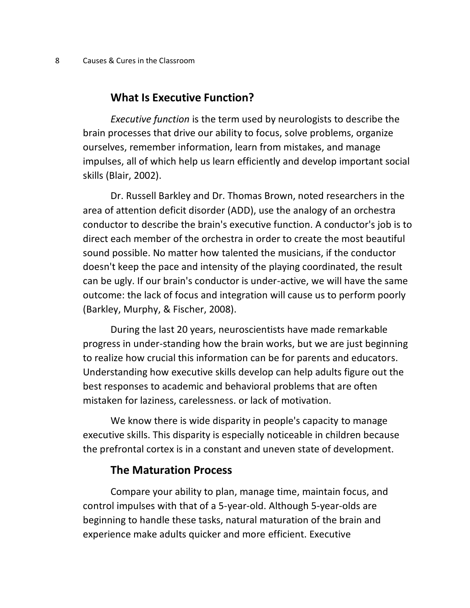## **What Is Executive Function?**

*Executive function* is the term used by neurologists to describe the brain processes that drive our ability to focus, solve problems, organize ourselves, remember information, learn from mistakes, and manage impulses, all of which help us learn efficiently and develop important social skills (Blair, 2002).

Dr. Russell Barkley and Dr. Thomas Brown, noted researchers in the area of attention deficit disorder (ADD), use the analogy of an orchestra conductor to describe the brain's executive function. A conductor's job is to direct each member of the orchestra in order to create the most beautiful sound possible. No matter how talented the musicians, if the conductor doesn't keep the pace and intensity of the playing coordinated, the result can be ugly. If our brain's conductor is under-active, we will have the same outcome: the lack of focus and integration will cause us to perform poorly (Barkley, Murphy, & Fischer, 2008).

During the last 20 years, neuroscientists have made remarkable progress in under-standing how the brain works, but we are just beginning to realize how crucial this information can be for parents and educators. Understanding how executive skills develop can help adults figure out the best responses to academic and behavioral problems that are often mistaken for laziness, carelessness. or lack of motivation.

We know there is wide disparity in people's capacity to manage executive skills. This disparity is especially noticeable in children because the prefrontal cortex is in a constant and uneven state of development.

## **The Maturation Process**

Compare your ability to plan, manage time, maintain focus, and control impulses with that of a 5-year-old. Although 5-year-olds are beginning to handle these tasks, natural maturation of the brain and experience make adults quicker and more efficient. Executive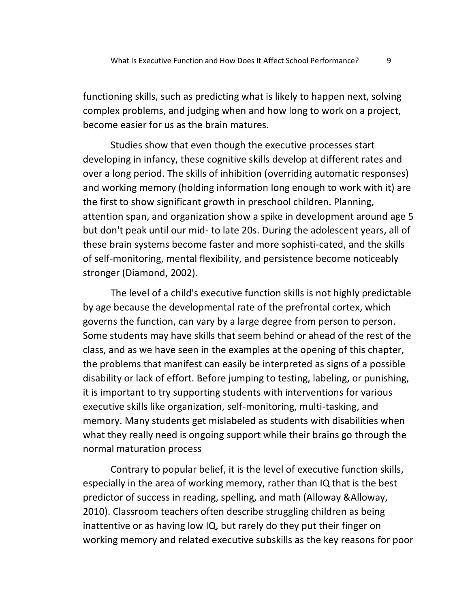functioning skills, such as predicting what is likely to happen next, solving complex problems, and judging when and how long to work on a project, become easier for us as the brain matures.

Studies show that even though the executive processes start developing in infancy, these cognitive skills develop at different rates and over a long period. The skills of inhibition (overriding automatic responses) and working memory (holding information long enough to work with it) are the first to show significant growth in preschool children. Planning, attention span, and organization show a spike in development around age 5 but don't peak until our mid- to late 20s. During the adolescent years, all of these brain systems become faster and more sophisti-cated, and the skills of self-monitoring, mental flexibility, and persistence become noticeably stronger (Diamond, 2002).

The level of a child's executive function skills is not highly predictable by age because the developmental rate of the prefrontal cortex, which governs the function, can vary by a large degree from person to person. Some students may have skills that seem behind or ahead of the rest of the class, and as we have seen in the examples at the opening of this chapter, the problems that manifest can easily be interpreted as signs of a possible disability or lack of effort. Before jumping to testing, labeling, or punishing, it is important to try supporting students with interventions for various executive skills like organization, self-monitoring, multi-tasking, and memory. Many students get mislabeled as students with disabilities when what they really need is ongoing support while their brains go through the normal maturation process

Contrary to popular belief, it is the level of executive function skills, especially in the area of working memory, rather than IQ that is the best predictor of success in reading, spelling, and math (Alloway &Alloway, 2010). Classroom teachers often describe struggling children as being inattentive or as having low IQ, but rarely do they put their finger on working memory and related executive subskills as the key reasons for poor